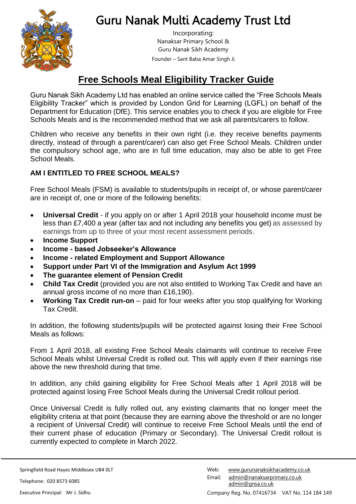

# Guru Nanak Multi Academy Trust Ltd

Incorporating: Nanaksar Primary School & Guru Nanak Sikh Academy Founder – Sant Baba Amar Singh Ji

# **Free Schools Meal Eligibility Tracker Guide**

Guru Nanak Sikh Academy Ltd has enabled an online service called the "Free Schools Meals Eligibility Tracker" which is provided by London Grid for Learning (LGFL) on behalf of the Department for Education (DfE). This service enables you to check if you are eligible for Free Schools Meals and is the recommended method that we ask all parents/carers to follow.

Children who receive any benefits in their own right (i.e. they receive benefits payments directly, instead of through a parent/carer) can also get Free School Meals. Children under the compulsory school age, who are in full time education, may also be able to get Free School Meals.

## **AM I ENTITLED TO FREE SCHOOL MEALS?**

Free School Meals (FSM) is available to students/pupils in receipt of, or whose parent/carer are in receipt of, one or more of the following benefits:

- **Universal Credit** if you apply on or after 1 April 2018 your household income must be less than £7,400 a year (after tax and not including any benefits you get) as assessed by earnings from up to three of your most recent assessment periods.
- **Income Support**
- **Income - based Jobseeker's Allowance**
- **Income - related Employment and Support Allowance**
- **Support under Part VI of the Immigration and Asylum Act 1999**
- **The guarantee element of Pension Credit**
- **Child Tax Credit** (provided you are not also entitled to Working Tax Credit and have an annual gross income of no more than £16,190).
- **Working Tax Credit run-on** paid for four weeks after you stop qualifying for Working Tax Credit.

In addition, the following students/pupils will be protected against losing their Free School Meals as follows:

From 1 April 2018, all existing Free School Meals claimants will continue to receive Free School Meals whilst Universal Credit is rolled out. This will apply even if their earnings rise above the new threshold during that time.

In addition, any child gaining eligibility for Free School Meals after 1 April 2018 will be protected against losing Free School Meals during the Universal Credit rollout period.

Once Universal Credit is fully rolled out, any existing claimants that no longer meet the eligibility criteria at that point (because they are earning above the threshold or are no longer a recipient of Universal Credit) will continue to receive Free School Meals until the end of their current phase of education (Primary or Secondary). The Universal Credit rollout is currently expected to complete in March 2022.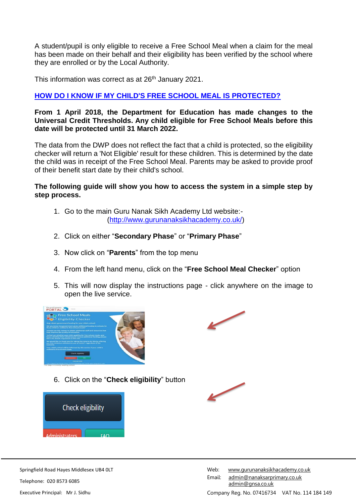A student/pupil is only eligible to receive a Free School Meal when a claim for the meal has been made on their behalf and their eligibility has been verified by the school where they are enrolled or by the Local Authority.

This information was correct as at 26<sup>th</sup> January 2021.

### **[HOW DO I KNOW IF MY CHILD'S FREE SCHOOL MEAL IS PROTECTED?](https://pps.lgfl.org.uk/FAQ.aspx)**

**From 1 April 2018, the Department for Education has made changes to the Universal Credit Thresholds. Any child eligible for Free School Meals before this date will be protected until 31 March 2022.**

The data from the DWP does not reflect the fact that a child is protected, so the eligibility checker will return a 'Not Eligible' result for these children. This is determined by the date the child was in receipt of the Free School Meal. Parents may be asked to provide proof of their benefit start date by their child's school.

#### **The following guide will show you how to access the system in a simple step by step process.**

- 1. Go to the main Guru Nanak Sikh Academy Ltd website:- [\(http://www.gurunanaksikhacademy.co.uk/\)](http://www.gurunanaksikhacademy.co.uk/)
- 2. Click on either "**Secondary Phase**" or "**Primary Phase**"
- 3. Now click on "**Parents**" from the top menu
- 4. From the left hand menu, click on the "**Free School Meal Checker**" option
- 5. This will now display the instructions page click anywhere on the image to open the live service.





6. Click on the "**Check eligibility**" button